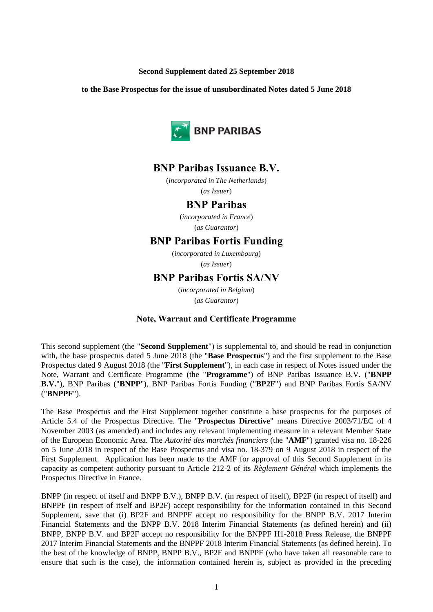## **Second Supplement dated 25 September 2018**

**to the Base Prospectus for the issue of unsubordinated Notes dated 5 June 2018**



# **BNP Paribas Issuance B.V.**

(*incorporated in The Netherlands*) (*as Issuer*)

# **BNP Paribas**

(*incorporated in France*) (*as Guarantor*)

# **BNP Paribas Fortis Funding**

(*incorporated in Luxembourg*) (*as Issuer*)

# **BNP Paribas Fortis SA/NV**

(*incorporated in Belgium*) (*as Guarantor*)

## **Note, Warrant and Certificate Programme**

This second supplement (the "**Second Supplement**") is supplemental to, and should be read in conjunction with, the base prospectus dated 5 June 2018 (the "**Base Prospectus**") and the first supplement to the Base Prospectus dated 9 August 2018 (the "**First Supplement**"), in each case in respect of Notes issued under the Note, Warrant and Certificate Programme (the "**Programme**") of BNP Paribas Issuance B.V. ("**BNPP B.V.**"), BNP Paribas ("**BNPP**"), BNP Paribas Fortis Funding ("**BP2F**") and BNP Paribas Fortis SA/NV ("**BNPPF**").

The Base Prospectus and the First Supplement together constitute a base prospectus for the purposes of Article 5.4 of the Prospectus Directive. The "**Prospectus Directive**" means Directive 2003/71/EC of 4 November 2003 (as amended) and includes any relevant implementing measure in a relevant Member State of the European Economic Area. The *Autorité des marchés financiers* (the "**AMF**") granted visa no. 18-226 on 5 June 2018 in respect of the Base Prospectus and visa no. 18-379 on 9 August 2018 in respect of the First Supplement. Application has been made to the AMF for approval of this Second Supplement in its capacity as competent authority pursuant to Article 212-2 of its *Règlement Général* which implements the Prospectus Directive in France.

BNPP (in respect of itself and BNPP B.V.), BNPP B.V. (in respect of itself), BP2F (in respect of itself) and BNPPF (in respect of itself and BP2F) accept responsibility for the information contained in this Second Supplement, save that (i) BP2F and BNPPF accept no responsibility for the BNPP B.V. 2017 Interim Financial Statements and the BNPP B.V. 2018 Interim Financial Statements (as defined herein) and (ii) BNPP, BNPP B.V. and BP2F accept no responsibility for the BNPPF H1-2018 Press Release, the BNPPF 2017 Interim Financial Statements and the BNPPF 2018 Interim Financial Statements (as defined herein). To the best of the knowledge of BNPP, BNPP B.V., BP2F and BNPPF (who have taken all reasonable care to ensure that such is the case), the information contained herein is, subject as provided in the preceding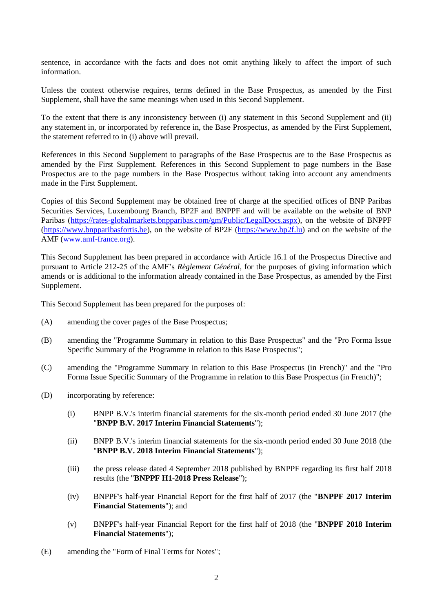sentence, in accordance with the facts and does not omit anything likely to affect the import of such information.

Unless the context otherwise requires, terms defined in the Base Prospectus, as amended by the First Supplement, shall have the same meanings when used in this Second Supplement.

To the extent that there is any inconsistency between (i) any statement in this Second Supplement and (ii) any statement in, or incorporated by reference in, the Base Prospectus, as amended by the First Supplement, the statement referred to in (i) above will prevail.

References in this Second Supplement to paragraphs of the Base Prospectus are to the Base Prospectus as amended by the First Supplement. References in this Second Supplement to page numbers in the Base Prospectus are to the page numbers in the Base Prospectus without taking into account any amendments made in the First Supplement.

Copies of this Second Supplement may be obtained free of charge at the specified offices of BNP Paribas Securities Services, Luxembourg Branch, BP2F and BNPPF and will be available on the website of BNP Paribas [\(https://rates-globalmarkets.bnpparibas.com/gm/Public/LegalDocs.aspx\)](https://rates-globalmarkets.bnpparibas.com/gm/Public/LegalDocs.aspx), on the website of BNPPF [\(https://www.bnpparibasfortis.be\)](https://www.bnpparibasfortis.be/), on the website of BP2F [\(https://www.bp2f.lu\)](https://www.bp2f.lu/) and on the website of the AMF [\(www.amf-france.org\)](http://www.amf-france.org/).

This Second Supplement has been prepared in accordance with Article 16.1 of the Prospectus Directive and pursuant to Article 212-25 of the AMF's *Règlement Général*, for the purposes of giving information which amends or is additional to the information already contained in the Base Prospectus, as amended by the First Supplement.

<span id="page-1-0"></span>This Second Supplement has been prepared for the purposes of:

- <span id="page-1-1"></span>(A) amending the cover pages of the Base Prospectus;
- (B) amending the "Programme Summary in relation to this Base Prospectus" and the "Pro Forma Issue Specific Summary of the Programme in relation to this Base Prospectus";
- <span id="page-1-2"></span>(C) amending the "Programme Summary in relation to this Base Prospectus (in French)" and the "Pro Forma Issue Specific Summary of the Programme in relation to this Base Prospectus (in French)";
- <span id="page-1-3"></span>(D) incorporating by reference:
	- (i) BNPP B.V.'s interim financial statements for the six-month period ended 30 June 2017 (the "**BNPP B.V. 2017 Interim Financial Statements**");
	- (ii) BNPP B.V.'s interim financial statements for the six-month period ended 30 June 2018 (the "**BNPP B.V. 2018 Interim Financial Statements**");
	- (iii) the press release dated 4 September 2018 published by BNPPF regarding its first half 2018 results (the "**BNPPF H1-2018 Press Release**");
	- (iv) BNPPF's half-year Financial Report for the first half of 2017 (the "**BNPPF 2017 Interim Financial Statements**"); and
	- (v) BNPPF's half-year Financial Report for the first half of 2018 (the "**BNPPF 2018 Interim Financial Statements**");
- <span id="page-1-4"></span>(E) amending the "Form of Final Terms for Notes";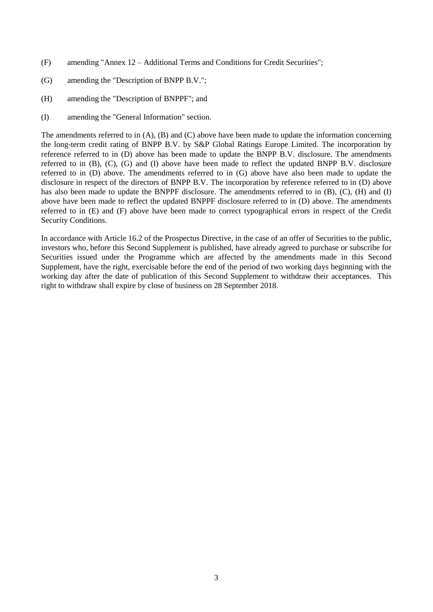- <span id="page-2-3"></span><span id="page-2-0"></span>(F) amending "Annex 12 – Additional Terms and Conditions for Credit Securities";
- <span id="page-2-2"></span>(G) amending the "Description of BNPP B.V.";
- (H) amending the "Description of BNPPF"; and
- <span id="page-2-1"></span>(I) amending the "General Information" section.

The amendments referred to in [\(A\),](#page-1-0) [\(B\)](#page-1-1) and [\(C\)](#page-1-2) above have been made to update the information concerning the long-term credit rating of BNPP B.V. by S&P Global Ratings Europe Limited. The incorporation by reference referred to in [\(D\)](#page-1-3) above has been made to update the BNPP B.V. disclosure. The amendments referred to in [\(B\),](#page-1-1) [\(C\),](#page-1-2) [\(G\)](#page-2-0) and [\(I\)](#page-2-1) above have been made to reflect the updated BNPP B.V. disclosure referred to in (D) above. The amendments referred to in (G) above have also been made to update the disclosure in respect of the directors of BNPP B.V. The incorporation by reference referred to in [\(D\)](#page-1-3) above has also been made to update the BNPPF disclosure. The amendments referred to in [\(B\),](#page-1-1) [\(C\),](#page-1-2) [\(H\)](#page-2-2) and [\(I\)](#page-2-1) above have been made to reflect the updated BNPPF disclosure referred to in [\(D\)](#page-1-3) above. The amendments referred to in [\(E\)](#page-1-4) and [\(F\)](#page-2-3) above have been made to correct typographical errors in respect of the Credit Security Conditions.

In accordance with Article 16.2 of the Prospectus Directive, in the case of an offer of Securities to the public, investors who, before this Second Supplement is published, have already agreed to purchase or subscribe for Securities issued under the Programme which are affected by the amendments made in this Second Supplement, have the right, exercisable before the end of the period of two working days beginning with the working day after the date of publication of this Second Supplement to withdraw their acceptances. This right to withdraw shall expire by close of business on 28 September 2018.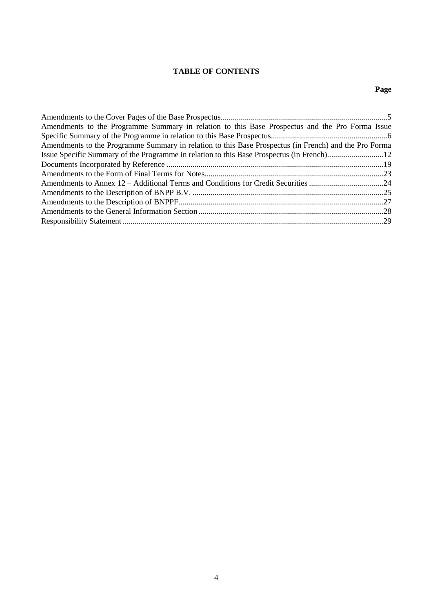# **TABLE OF CONTENTS**

# **Page**

| Amendments to the Programme Summary in relation to this Base Prospectus and the Pro Forma Issue       |  |
|-------------------------------------------------------------------------------------------------------|--|
|                                                                                                       |  |
| Amendments to the Programme Summary in relation to this Base Prospectus (in French) and the Pro Forma |  |
|                                                                                                       |  |
|                                                                                                       |  |
|                                                                                                       |  |
|                                                                                                       |  |
|                                                                                                       |  |
|                                                                                                       |  |
|                                                                                                       |  |
|                                                                                                       |  |
|                                                                                                       |  |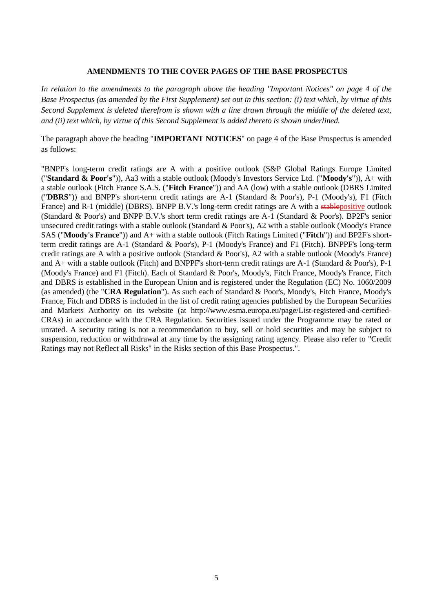## **AMENDMENTS TO THE COVER PAGES OF THE BASE PROSPECTUS**

*In relation to the amendments to the paragraph above the heading "Important Notices" on page 4 of the Base Prospectus (as amended by the First Supplement) set out in this section: (i) text which, by virtue of this Second Supplement is deleted therefrom is shown with a line drawn through the middle of the deleted text, and (ii) text which, by virtue of this Second Supplement is added thereto is shown underlined.*

The paragraph above the heading "**IMPORTANT NOTICES**" on page 4 of the Base Prospectus is amended as follows:

"BNPP's long-term credit ratings are A with a positive outlook (S&P Global Ratings Europe Limited ("**Standard & Poor's**")), Aa3 with a stable outlook (Moody's Investors Service Ltd. ("**Moody's**")), A+ with a stable outlook (Fitch France S.A.S. ("**Fitch France**")) and AA (low) with a stable outlook (DBRS Limited ("**DBRS**")) and BNPP's short-term credit ratings are A-1 (Standard & Poor's), P-1 (Moody's), F1 (Fitch France) and R-1 (middle) (DBRS). BNPP B.V.'s long-term credit ratings are A with a stable positive outlook (Standard & Poor's) and BNPP B.V.'s short term credit ratings are A-1 (Standard & Poor's). BP2F's senior unsecured credit ratings with a stable outlook (Standard & Poor's), A2 with a stable outlook (Moody's France SAS ("**Moody's France**")) and A+ with a stable outlook (Fitch Ratings Limited ("**Fitch**")) and BP2F's shortterm credit ratings are A-1 (Standard & Poor's), P-1 (Moody's France) and F1 (Fitch). BNPPF's long-term credit ratings are A with a positive outlook (Standard & Poor's), A2 with a stable outlook (Moody's France) and A+ with a stable outlook (Fitch) and BNPPF's short-term credit ratings are A-1 (Standard & Poor's), P-1 (Moody's France) and F1 (Fitch). Each of Standard & Poor's, Moody's, Fitch France, Moody's France, Fitch and DBRS is established in the European Union and is registered under the Regulation (EC) No. 1060/2009 (as amended) (the "**CRA Regulation**"). As such each of Standard & Poor's, Moody's, Fitch France, Moody's France, Fitch and DBRS is included in the list of credit rating agencies published by the European Securities and Markets Authority on its website (at http://www.esma.europa.eu/page/List-registered-and-certified-CRAs) in accordance with the CRA Regulation. Securities issued under the Programme may be rated or unrated. A security rating is not a recommendation to buy, sell or hold securities and may be subject to suspension, reduction or withdrawal at any time by the assigning rating agency. Please also refer to "Credit Ratings may not Reflect all Risks" in the Risks section of this Base Prospectus.".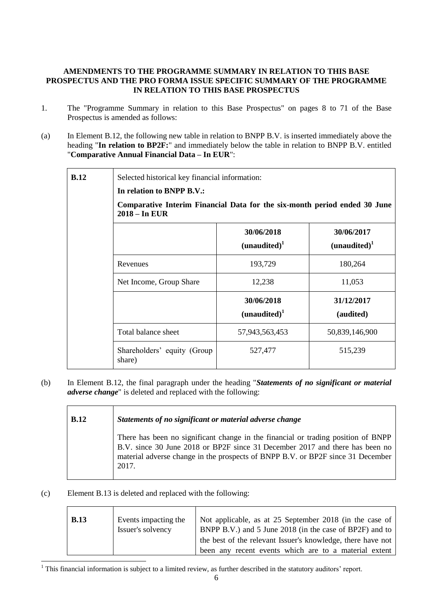# **AMENDMENTS TO THE PROGRAMME SUMMARY IN RELATION TO THIS BASE PROSPECTUS AND THE PRO FORMA ISSUE SPECIFIC SUMMARY OF THE PROGRAMME IN RELATION TO THIS BASE PROSPECTUS**

- 1. The "Programme Summary in relation to this Base Prospectus" on pages 8 to 71 of the Base Prospectus is amended as follows:
- (a) In Element B.12, the following new table in relation to BNPP B.V. is inserted immediately above the heading "**In relation to BP2F:**" and immediately below the table in relation to BNPP B.V. entitled "**Comparative Annual Financial Data – In EUR**":

| B.12 | Selected historical key financial information:<br>In relation to BNPP B.V.:                  |                                        |                                        |  |
|------|----------------------------------------------------------------------------------------------|----------------------------------------|----------------------------------------|--|
|      |                                                                                              |                                        |                                        |  |
|      | Comparative Interim Financial Data for the six-month period ended 30 June<br>$2018 - In EUR$ |                                        |                                        |  |
|      |                                                                                              | 30/06/2018<br>(unaudited) <sup>1</sup> | 30/06/2017<br>(unaudited) <sup>1</sup> |  |
|      | Revenues                                                                                     | 193,729                                | 180,264                                |  |
|      | Net Income, Group Share                                                                      | 12,238                                 | 11,053                                 |  |
|      |                                                                                              | 30/06/2018<br>(unaudited) <sup>1</sup> | 31/12/2017<br>(audited)                |  |
|      | Total balance sheet                                                                          | 57,943,563,453                         | 50,839,146,900                         |  |
|      | Shareholders' equity (Group)<br>share)                                                       | 527,477                                | 515,239                                |  |

(b) In Element B.12, the final paragraph under the heading "*Statements of no significant or material adverse change*" is deleted and replaced with the following:

| <b>B.12</b> | Statements of no significant or material adverse change                                                                                                                                                                                                       |
|-------------|---------------------------------------------------------------------------------------------------------------------------------------------------------------------------------------------------------------------------------------------------------------|
|             | There has been no significant change in the financial or trading position of BNPP<br>B.V. since 30 June 2018 or BP2F since 31 December 2017 and there has been no<br>material adverse change in the prospects of BNPP B.V. or BP2F since 31 December<br>2017. |

(c) Element B.13 is deleted and replaced with the following:

| <b>B.13</b> | Events impacting the | Not applicable, as at 25 September 2018 (in the case of     |
|-------------|----------------------|-------------------------------------------------------------|
|             | Issuer's solvency    | BNPP B.V.) and 5 June 2018 (in the case of BP2F) and to     |
|             |                      | the best of the relevant Issuer's knowledge, there have not |
|             |                      | been any recent events which are to a material extent       |

<sup>1</sup> <sup>1</sup> This financial information is subject to a limited review, as further described in the statutory auditors' report.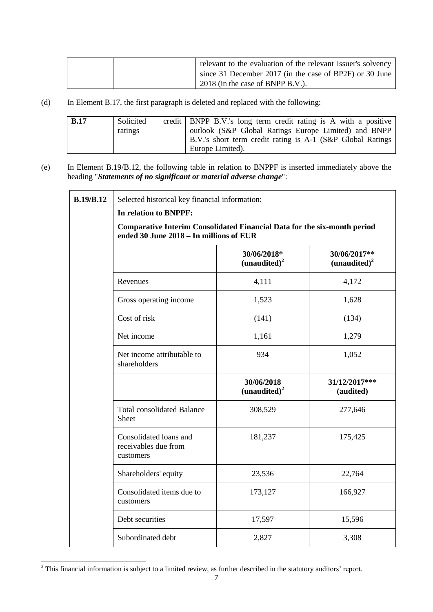|  | relevant to the evaluation of the relevant Issuer's solvency |
|--|--------------------------------------------------------------|
|  | since 31 December 2017 (in the case of BP2F) or 30 June      |
|  | 2018 (in the case of BNPP B.V.).                             |

(d) In Element B.17, the first paragraph is deleted and replaced with the following:

| <b>B.17</b> | Solicited<br>ratings | credit   BNPP B.V.'s long term credit rating is A with a positive<br>outlook (S&P Global Ratings Europe Limited) and BNPP |
|-------------|----------------------|---------------------------------------------------------------------------------------------------------------------------|
|             |                      | B.V.'s short term credit rating is A-1 (S&P Global Ratings<br>Europe Limited).                                            |

(e) In Element B.19/B.12, the following table in relation to BNPPF is inserted immediately above the heading "*Statements of no significant or material adverse change*":

| <b>B.19/B.12</b> | Selected historical key financial information:                                                                      |                                         |                                          |  |
|------------------|---------------------------------------------------------------------------------------------------------------------|-----------------------------------------|------------------------------------------|--|
|                  | In relation to BNPPF:                                                                                               |                                         |                                          |  |
|                  | Comparative Interim Consolidated Financial Data for the six-month period<br>ended 30 June 2018 - In millions of EUR |                                         |                                          |  |
|                  |                                                                                                                     | 30/06/2018*<br>(unaudited) <sup>2</sup> | 30/06/2017**<br>(unaudited) <sup>2</sup> |  |
|                  | Revenues                                                                                                            | 4,111                                   | 4,172                                    |  |
|                  | Gross operating income                                                                                              | 1,523                                   | 1,628                                    |  |
|                  | Cost of risk                                                                                                        | (141)                                   | (134)                                    |  |
|                  | Net income                                                                                                          | 1,161                                   | 1,279                                    |  |
|                  | Net income attributable to<br>shareholders                                                                          | 934                                     | 1,052                                    |  |
|                  |                                                                                                                     | 30/06/2018<br>(unaudited) <sup>2</sup>  | 31/12/2017***<br>(audited)               |  |
|                  | <b>Total consolidated Balance</b><br>Sheet                                                                          | 308,529                                 | 277,646                                  |  |
|                  | Consolidated loans and<br>receivables due from<br>customers                                                         | 181,237                                 | 175,425                                  |  |
|                  | Shareholders' equity                                                                                                | 23,536                                  | 22,764                                   |  |
|                  | Consolidated items due to<br>customers                                                                              | 173,127                                 | 166,927                                  |  |
|                  | Debt securities                                                                                                     | 17,597                                  | 15,596                                   |  |
|                  | Subordinated debt                                                                                                   | 2,827                                   | 3,308                                    |  |

 $2$  This financial information is subject to a limited review, as further described in the statutory auditors' report.

1

 $\mathsf{r}$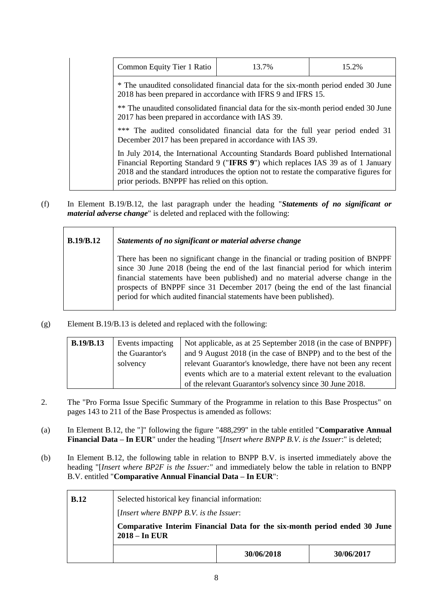| Common Equity Tier 1 Ratio                                                                                                                                                                                                                                                                                         | 13.7% | 15.2% |  |
|--------------------------------------------------------------------------------------------------------------------------------------------------------------------------------------------------------------------------------------------------------------------------------------------------------------------|-------|-------|--|
| * The unaudited consolidated financial data for the six-month period ended 30 June<br>2018 has been prepared in accordance with IFRS 9 and IFRS 15.                                                                                                                                                                |       |       |  |
| ** The unaudited consolidated financial data for the six-month period ended 30 June<br>2017 has been prepared in accordance with IAS 39.                                                                                                                                                                           |       |       |  |
| *** The audited consolidated financial data for the full year period ended 31<br>December 2017 has been prepared in accordance with IAS 39.                                                                                                                                                                        |       |       |  |
| In July 2014, the International Accounting Standards Board published International<br>Financial Reporting Standard 9 ("IFRS 9") which replaces IAS 39 as of 1 January<br>2018 and the standard introduces the option not to restate the comparative figures for<br>prior periods. BNPPF has relied on this option. |       |       |  |

(f) In Element B.19/B.12, the last paragraph under the heading "*Statements of no significant or material adverse change*" is deleted and replaced with the following:

| <b>B.19/B.12</b> | Statements of no significant or material adverse change                                                                                                                                                                                                                                                                                                                                                            |
|------------------|--------------------------------------------------------------------------------------------------------------------------------------------------------------------------------------------------------------------------------------------------------------------------------------------------------------------------------------------------------------------------------------------------------------------|
|                  | There has been no significant change in the financial or trading position of BNPPF<br>since 30 June 2018 (being the end of the last financial period for which interim<br>financial statements have been published) and no material adverse change in the<br>prospects of BNPPF since 31 December 2017 (being the end of the last financial<br>period for which audited financial statements have been published). |

(g) Element B.19/B.13 is deleted and replaced with the following:

| <b>B.19/B.13</b> | Events impacting | Not applicable, as at 25 September 2018 (in the case of BNPPF)   |  |
|------------------|------------------|------------------------------------------------------------------|--|
|                  | the Guarantor's  | and 9 August 2018 (in the case of BNPP) and to the best of the   |  |
|                  | solvency         | relevant Guarantor's knowledge, there have not been any recent   |  |
|                  |                  | events which are to a material extent relevant to the evaluation |  |
|                  |                  | of the relevant Guarantor's solvency since 30 June 2018.         |  |

- 2. The "Pro Forma Issue Specific Summary of the Programme in relation to this Base Prospectus" on pages 143 to 211 of the Base Prospectus is amended as follows:
- (a) In Element B.12, the "]" following the figure "488,299" in the table entitled "**Comparative Annual Financial Data – In EUR**" under the heading "[*Insert where BNPP B.V. is the Issuer*:" is deleted;
- (b) In Element B.12, the following table in relation to BNPP B.V. is inserted immediately above the heading "[*Insert where BP2F is the Issuer:*" and immediately below the table in relation to BNPP B.V. entitled "**Comparative Annual Financial Data – In EUR**":

| <b>B.12</b> | Selected historical key financial information:<br>[Insert where BNPP B.V. is the Issuer:     |  |  |  |  |
|-------------|----------------------------------------------------------------------------------------------|--|--|--|--|
|             | Comparative Interim Financial Data for the six-month period ended 30 June<br>$2018 - In EUR$ |  |  |  |  |
|             | 30/06/2018<br>30/06/2017                                                                     |  |  |  |  |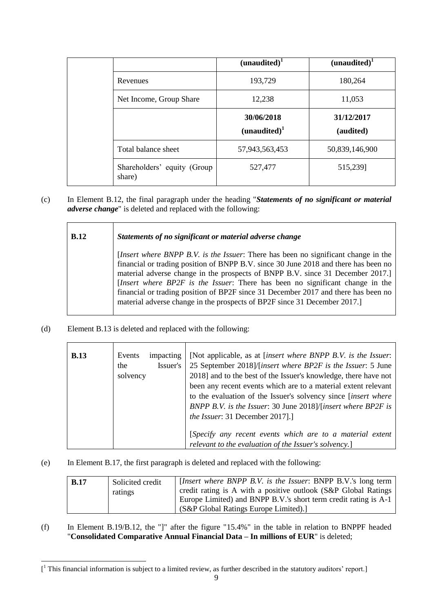|                                       | $(unaudited)^{1}$                      | (unaudited) <sup>1</sup> |
|---------------------------------------|----------------------------------------|--------------------------|
| Revenues                              | 193,729                                | 180,264                  |
| Net Income, Group Share               | 12,238                                 | 11,053                   |
|                                       | 30/06/2018<br>(unaudited) <sup>1</sup> | 31/12/2017<br>(audited)  |
| Total balance sheet                   | 57,943,563,453                         | 50,839,146,900           |
| Shareholders' equity (Group<br>share) | 527,477                                | 515,239]                 |

(c) In Element B.12, the final paragraph under the heading "*Statements of no significant or material adverse change*" is deleted and replaced with the following:

| B.12 | Statements of no significant or material adverse change                                                                                                                                                                                                                                                                                                                                                                                                                                                        |
|------|----------------------------------------------------------------------------------------------------------------------------------------------------------------------------------------------------------------------------------------------------------------------------------------------------------------------------------------------------------------------------------------------------------------------------------------------------------------------------------------------------------------|
|      | [Insert where BNPP B.V. is the Issuer: There has been no significant change in the<br>financial or trading position of BNPP B.V. since 30 June 2018 and there has been no<br>material adverse change in the prospects of BNPP B.V. since 31 December 2017.]<br>[Insert where BP2F is the Issuer: There has been no significant change in the<br>financial or trading position of BP2F since 31 December 2017 and there has been no<br>material adverse change in the prospects of BP2F since 31 December 2017. |

(d) Element B.13 is deleted and replaced with the following:

1

| <b>B.13</b> | Events<br>impacting<br>Issuer's<br>the<br>solvency | [Not applicable, as at [insert where BNPP B.V. is the Issuer:<br>25 September 2018]/[insert where BP2F is the Issuer: 5 June<br>2018] and to the best of the Issuer's knowledge, there have not<br>been any recent events which are to a material extent relevant<br>to the evaluation of the Issuer's solvency since [insert where |
|-------------|----------------------------------------------------|-------------------------------------------------------------------------------------------------------------------------------------------------------------------------------------------------------------------------------------------------------------------------------------------------------------------------------------|
|             |                                                    | BNPP B.V. is the Issuer: 30 June 2018)/[insert where BP2F is<br><i>the Issuer</i> : 31 December 2017].]<br>[Specify any recent events which are to a material extent<br>relevant to the evaluation of the Issuer's solvency.]                                                                                                       |

(e) In Element B.17, the first paragraph is deleted and replaced with the following:

| B.17 | Solicited credit<br>ratings | [Insert where BNPP B.V. is the Issuer: BNPP B.V.'s long term<br>credit rating is A with a positive outlook (S&P Global Ratings<br>Europe Limited) and BNPP B.V.'s short term credit rating is A-1<br>(S&P Global Ratings Europe Limited).] |
|------|-----------------------------|--------------------------------------------------------------------------------------------------------------------------------------------------------------------------------------------------------------------------------------------|
|------|-----------------------------|--------------------------------------------------------------------------------------------------------------------------------------------------------------------------------------------------------------------------------------------|

(f) In Element B.19/B.12, the "]" after the figure "15.4%" in the table in relation to BNPPF headed "**Consolidated Comparative Annual Financial Data – In millions of EUR**" is deleted;

 $\left[ \begin{smallmatrix} 1 & 1 \end{smallmatrix} \right]$  This financial information is subject to a limited review, as further described in the statutory auditors' report.]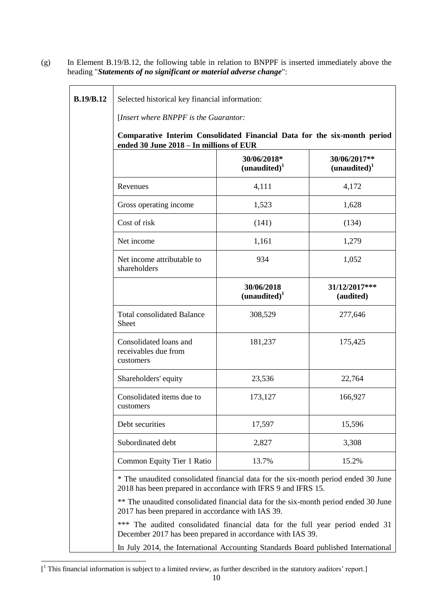**B.19/B.12** Selected historical key financial information: [*Insert where BNPPF is the Guarantor:* **Comparative Interim Consolidated Financial Data for the six-month period ended 30 June 2018 – In millions of EUR 30/06/2018\* (unaudited)<sup>1</sup> 30/06/2017\*\* (unaudited)<sup>1</sup>** Revenues 4,111 4,172 Gross operating income  $1,523$  1,628  $Cost of risk$  (141) (134) Net income 1,161 1,279 Net income attributable to shareholders 934 1,052 **30/06/2018 (unaudited)<sup>1</sup> 31/12/2017\*\*\* (audited)** Total consolidated Balance Sheet 308,529 277,646 Consolidated loans and receivables due from customers 181,237 175,425 Shareholders' equity 23,536 22,764 Consolidated items due to customers 173,127 166,927 Debt securities 17,597 15,596 Subordinated debt  $2.827$  and  $3.308$ Common Equity Tier 1 Ratio 13.7% 15.2% \* The unaudited consolidated financial data for the six-month period ended 30 June 2018 has been prepared in accordance with IFRS 9 and IFRS 15. \*\* The unaudited consolidated financial data for the six-month period ended 30 June 2017 has been prepared in accordance with IAS 39. \*\*\* The audited consolidated financial data for the full year period ended 31 December 2017 has been prepared in accordance with IAS 39.

(g) In Element B.19/B.12, the following table in relation to BNPPF is inserted immediately above the

heading "*Statements of no significant or material adverse change*":

In July 2014, the International Accounting Standards Board published International

<sup>1</sup>  $\left[ \begin{smallmatrix} 1 & 1 \end{smallmatrix} \right]$  This financial information is subject to a limited review, as further described in the statutory auditors' report.]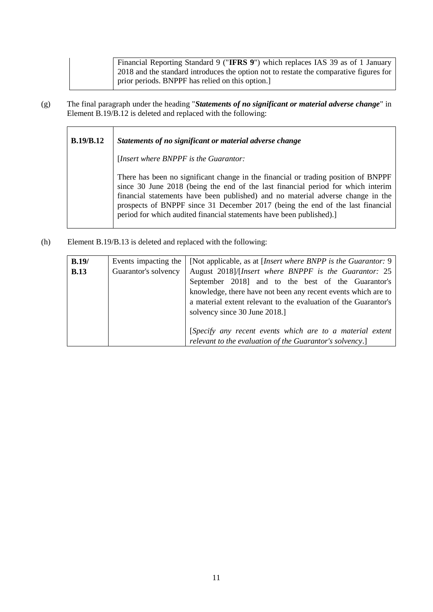Financial Reporting Standard 9 ("**IFRS 9**") which replaces IAS 39 as of 1 January 2018 and the standard introduces the option not to restate the comparative figures for prior periods. BNPPF has relied on this option.]

(g) The final paragraph under the heading "*Statements of no significant or material adverse change*" in Element B.19/B.12 is deleted and replaced with the following:

| <b>B.19/B.12</b> | Statements of no significant or material adverse change                                                                                                                                                                                                                                                                                                                                                             |
|------------------|---------------------------------------------------------------------------------------------------------------------------------------------------------------------------------------------------------------------------------------------------------------------------------------------------------------------------------------------------------------------------------------------------------------------|
|                  | [Insert where BNPPF is the Guarantor:                                                                                                                                                                                                                                                                                                                                                                               |
|                  | There has been no significant change in the financial or trading position of BNPPF<br>since 30 June 2018 (being the end of the last financial period for which interim<br>financial statements have been published) and no material adverse change in the<br>prospects of BNPPF since 31 December 2017 (being the end of the last financial<br>period for which audited financial statements have been published).] |

(h) Element B.19/B.13 is deleted and replaced with the following:

| B.19/       | Events impacting the | [Not applicable, as at <i>[Insert where BNPP is the Guarantor: 9</i> ] |  |
|-------------|----------------------|------------------------------------------------------------------------|--|
| <b>B.13</b> | Guarantor's solvency | August 2018)/[Insert where BNPPF is the Guarantor: 25                  |  |
|             |                      | September 2018] and to the best of the Guarantor's                     |  |
|             |                      | knowledge, there have not been any recent events which are to          |  |
|             |                      | a material extent relevant to the evaluation of the Guarantor's        |  |
|             |                      | solvency since 30 June 2018.]                                          |  |
|             |                      |                                                                        |  |
|             |                      | [Specify any recent events which are to a material extent              |  |
|             |                      | relevant to the evaluation of the Guarantor's solvency.]               |  |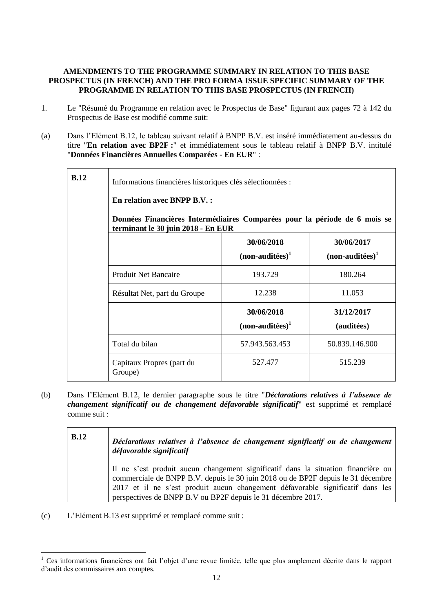# **AMENDMENTS TO THE PROGRAMME SUMMARY IN RELATION TO THIS BASE PROSPECTUS (IN FRENCH) AND THE PRO FORMA ISSUE SPECIFIC SUMMARY OF THE PROGRAMME IN RELATION TO THIS BASE PROSPECTUS (IN FRENCH)**

- 1. Le "Résumé du Programme en relation avec le Prospectus de Base" figurant aux pages 72 à 142 du Prospectus de Base est modifié comme suit:
- (a) Dans l'Elément B.12, le tableau suivant relatif à BNPP B.V. est inséré immédiatement au-dessus du titre "**En relation avec BP2F :**" et immédiatement sous le tableau relatif à BNPP B.V. intitulé "**Données Financières Annuelles Comparées - En EUR**" :

| B.12 | Informations financières historiques clés sélectionnées :<br><b>En relation avec BNPP B.V.:</b><br>Données Financières Intermédiaires Comparées pour la période de 6 mois se<br>terminant le 30 juin 2018 - En EUR |                                  |                                 |
|------|--------------------------------------------------------------------------------------------------------------------------------------------------------------------------------------------------------------------|----------------------------------|---------------------------------|
|      |                                                                                                                                                                                                                    | 30/06/2018<br>$(non-auditées)^1$ | 30/06/2017<br>$non-auditées)^1$ |
|      | <b>Produit Net Bancaire</b>                                                                                                                                                                                        | 193.729                          | 180.264                         |
|      | Résultat Net, part du Groupe                                                                                                                                                                                       | 12.238                           | 11.053                          |
|      |                                                                                                                                                                                                                    | 30/06/2018<br>$(non-auditées)^1$ | 31/12/2017<br>(auditées)        |
|      | Total du bilan                                                                                                                                                                                                     | 57.943.563.453                   | 50.839.146.900                  |
|      | Capitaux Propres (part du<br>Groupe)                                                                                                                                                                               | 527.477                          | 515.239                         |

(b) Dans l'Elément B.12, le dernier paragraphe sous le titre "*Déclarations relatives à l'absence de changement significatif ou de changement défavorable significatif*" est supprimé et remplacé comme suit :

| <b>B.12</b> | Déclarations relatives à l'absence de changement significatif ou de changement<br>défavorable significatif                                                                                                                                                                                                              |
|-------------|-------------------------------------------------------------------------------------------------------------------------------------------------------------------------------------------------------------------------------------------------------------------------------------------------------------------------|
|             | Il ne s'est produit aucun changement significatif dans la situation financière ou<br>commerciale de BNPP B.V. depuis le 30 juin 2018 ou de BP2F depuis le 31 décembre<br>2017 et il ne s'est produit aucun changement défavorable significatif dans les<br>perspectives de BNPP B.V ou BP2F depuis le 31 décembre 2017. |

(c) L'Elément B.13 est supprimé et remplacé comme suit :

<sup>-</sup> $1$  Ces informations financières ont fait l'objet d'une revue limitée, telle que plus amplement décrite dans le rapport d'audit des commissaires aux comptes.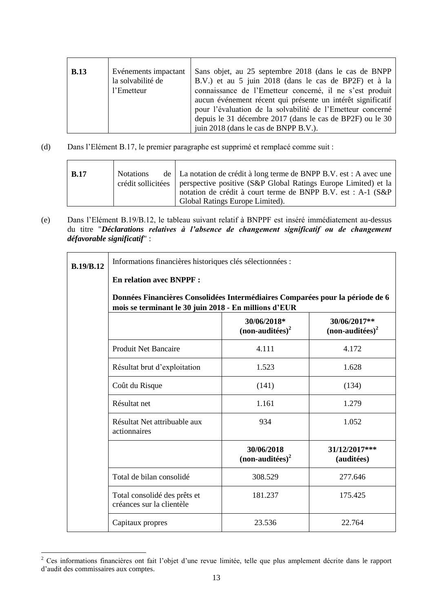| <b>B.13</b> | Evénements impactant<br>la solvabilité de<br>l'Emetteur | Sans objet, au 25 septembre 2018 (dans le cas de BNPP)<br>B.V.) et au 5 juin 2018 (dans le cas de BP2F) et à la<br>connaissance de l'Emetteur concerné, il ne s'est produit<br>aucun événement récent qui présente un intérêt significatif<br>pour l'évaluation de la solvabilité de l'Emetteur concerné |
|-------------|---------------------------------------------------------|----------------------------------------------------------------------------------------------------------------------------------------------------------------------------------------------------------------------------------------------------------------------------------------------------------|
|             |                                                         | depuis le 31 décembre 2017 (dans le cas de BP2F) ou le 30<br>juin 2018 (dans le cas de BNPP B.V.).                                                                                                                                                                                                       |
|             |                                                         |                                                                                                                                                                                                                                                                                                          |

(d) Dans l'Elément B.17, le premier paragraphe est supprimé et remplacé comme suit :

| <b>B.17</b><br><b>Notations</b> | de   La notation de crédit à long terme de BNPP B.V. est : A avec une<br>crédit sollicitées   perspective positive (S&P Global Ratings Europe Limited) et la<br>notation de crédit à court terme de BNPP B.V. est : A-1 (S&P)<br>Global Ratings Europe Limited). |
|---------------------------------|------------------------------------------------------------------------------------------------------------------------------------------------------------------------------------------------------------------------------------------------------------------|
|---------------------------------|------------------------------------------------------------------------------------------------------------------------------------------------------------------------------------------------------------------------------------------------------------------|

(e) Dans l'Elément B.19/B.12, le tableau suivant relatif à BNPPF est inséré immédiatement au-dessus du titre "*Déclarations relatives à l'absence de changement significatif ou de changement défavorable significatif*" :

| <b>B.19/B.12</b> | Informations financières historiques clés sélectionnées :                                                                              |                                  |                                   |
|------------------|----------------------------------------------------------------------------------------------------------------------------------------|----------------------------------|-----------------------------------|
|                  | <b>En relation avec BNPPF:</b>                                                                                                         |                                  |                                   |
|                  | Données Financières Consolidées Intermédiaires Comparées pour la période de 6<br>mois se terminant le 30 juin 2018 - En millions d'EUR |                                  |                                   |
|                  |                                                                                                                                        | 30/06/2018*<br>$non-auditées)^2$ | 30/06/2017**<br>$non-auditées)^2$ |
|                  | <b>Produit Net Bancaire</b>                                                                                                            | 4.111                            | 4.172                             |
|                  | Résultat brut d'exploitation                                                                                                           | 1.523                            | 1.628                             |
|                  | Coût du Risque                                                                                                                         | (141)                            | (134)                             |
|                  | Résultat net                                                                                                                           | 1.161                            | 1.279                             |
|                  | Résultat Net attribuable aux<br>actionnaires                                                                                           | 934                              | 1.052                             |
|                  |                                                                                                                                        | 30/06/2018<br>$non-auditées2$    | 31/12/2017***<br>(auditées)       |
|                  | Total de bilan consolidé                                                                                                               | 308.529                          | 277.646                           |
|                  | Total consolidé des prêts et<br>créances sur la clientèle                                                                              | 181.237                          | 175.425                           |
|                  | Capitaux propres                                                                                                                       | 23.536                           | 22.764                            |

 $2^2$  Ces informations financières ont fait l'objet d'une revue limitée, telle que plus amplement décrite dans le rapport d'audit des commissaires aux comptes.

-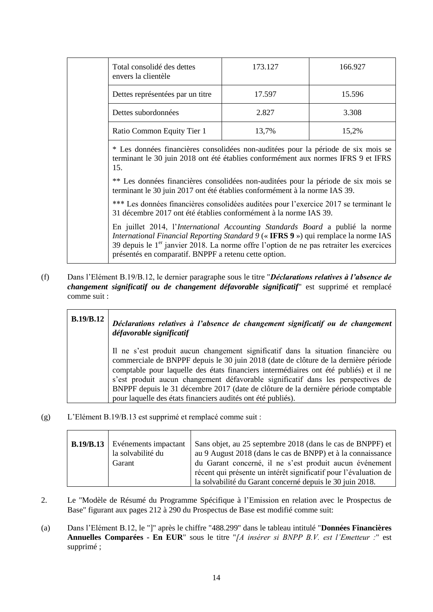| Total consolidé des dettes<br>envers la clientèle                                                                                                                                                                                                                                                                           | 173.127 | 166.927 |
|-----------------------------------------------------------------------------------------------------------------------------------------------------------------------------------------------------------------------------------------------------------------------------------------------------------------------------|---------|---------|
| Dettes représentées par un titre                                                                                                                                                                                                                                                                                            | 17.597  | 15.596  |
| Dettes subordonnées                                                                                                                                                                                                                                                                                                         | 2.827   | 3.308   |
| Ratio Common Equity Tier 1                                                                                                                                                                                                                                                                                                  | 13,7%   | 15,2%   |
| * Les données financières consolidées non-auditées pour la période de six mois se<br>terminant le 30 juin 2018 ont été établies conformément aux normes IFRS 9 et IFRS<br>15.                                                                                                                                               |         |         |
| ** Les données financières consolidées non-auditées pour la période de six mois se<br>terminant le 30 juin 2017 ont été établies conformément à la norme IAS 39.                                                                                                                                                            |         |         |
| *** Les données financières consolidées auditées pour l'exercice 2017 se terminant le<br>31 décembre 2017 ont été établies conformément à la norme IAS 39.                                                                                                                                                                  |         |         |
| En juillet 2014, l'International Accounting Standards Board a publié la norme<br>International Financial Reporting Standard 9 (« IFRS 9 ») qui remplace la norme IAS<br>39 depuis le $1er$ janvier 2018. La norme offre l'option de ne pas retraiter les exercices<br>présentés en comparatif. BNPPF a retenu cette option. |         |         |

(f) Dans l'Elément B.19/B.12, le dernier paragraphe sous le titre "*Déclarations relatives à l'absence de changement significatif ou de changement défavorable significatif*" est supprimé et remplacé comme suit :

| B.19/B.12 | Déclarations relatives à l'absence de changement significatif ou de changement<br>défavorable significatif                                                                                                                                                                                                                                                                                                                                                                                                  |
|-----------|-------------------------------------------------------------------------------------------------------------------------------------------------------------------------------------------------------------------------------------------------------------------------------------------------------------------------------------------------------------------------------------------------------------------------------------------------------------------------------------------------------------|
|           | Il ne s'est produit aucun changement significatif dans la situation financière ou<br>commerciale de BNPPF depuis le 30 juin 2018 (date de clôture de la dernière période<br>comptable pour laquelle des états financiers intermédiaires ont été publiés) et il ne<br>s'est produit aucun changement défavorable significatif dans les perspectives de<br>BNPPF depuis le 31 décembre 2017 (date de clôture de la dernière période comptable<br>pour laquelle des états financiers audités ont été publiés). |

(g) L'Elément B.19/B.13 est supprimé et remplacé comme suit :

| <b>B.19/B.13</b> Evénements impactant<br>la solvabilité du<br>Garant | Sans objet, au 25 septembre 2018 (dans le cas de BNPPF) et<br>au 9 August 2018 (dans le cas de BNPP) et à la connaissance<br>du Garant concerné, il ne s'est produit aucun événement<br>récent qui présente un intérêt significatif pour l'évaluation de |
|----------------------------------------------------------------------|----------------------------------------------------------------------------------------------------------------------------------------------------------------------------------------------------------------------------------------------------------|
|                                                                      | la solvabilité du Garant concerné depuis le 30 juin 2018.                                                                                                                                                                                                |

- 2. Le "Modèle de Résumé du Programme Spécifique à l'Emission en relation avec le Prospectus de Base" figurant aux pages 212 à 290 du Prospectus de Base est modifié comme suit:
- (a) Dans l'Elément B.12, le "]" après le chiffre "488.299" dans le tableau intitulé "**Données Financières Annuelles Comparées - En EUR**" sous le titre "*[A insérer si BNPP B.V. est l'Emetteur :*" est supprimé ;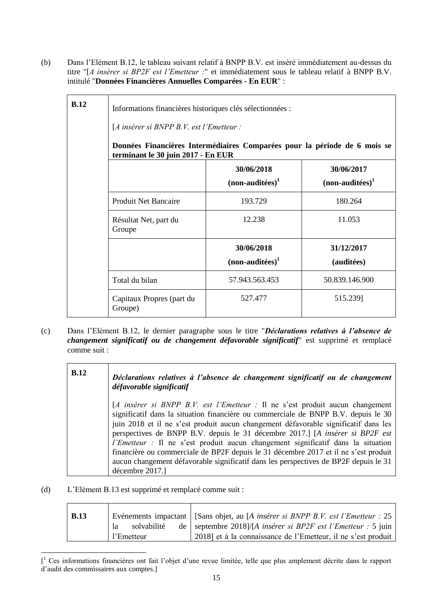(b) Dans l'Elément B.12, le tableau suivant relatif à BNPP B.V. est inséré immédiatement au-dessus du titre "[*A insérer si BP2F est l'Emetteur :*" et immédiatement sous le tableau relatif à BNPP B.V. intitulé "**Données Financières Annuelles Comparées - En EUR**" :

| B.12 | Informations financières historiques clés sélectionnées :<br>$[A$ insérer si BNPP B.V. est l'Emetteur :<br>Données Financières Intermédiaires Comparées pour la période de 6 mois se |                                 |                          |  |
|------|--------------------------------------------------------------------------------------------------------------------------------------------------------------------------------------|---------------------------------|--------------------------|--|
|      | terminant le 30 juin 2017 - En EUR<br>30/06/2018<br>30/06/2017<br>$(non-auditées)^1$<br>$(non-auditées)^1$                                                                           |                                 |                          |  |
|      | <b>Produit Net Bancaire</b>                                                                                                                                                          | 193.729                         | 180.264                  |  |
|      | Résultat Net, part du<br>Groupe                                                                                                                                                      | 12.238                          | 11.053                   |  |
|      |                                                                                                                                                                                      | 30/06/2018<br>$non-auditées)^1$ | 31/12/2017<br>(auditées) |  |
|      | Total du bilan                                                                                                                                                                       | 57.943.563.453                  | 50.839.146.900           |  |
|      | Capitaux Propres (part du<br>Groupe)                                                                                                                                                 | 527.477                         | 515.239]                 |  |

(c) Dans l'Elément B.12, le dernier paragraphe sous le titre "*Déclarations relatives à l'absence de changement significatif ou de changement défavorable significatif*" est supprimé et remplacé comme suit :

| <b>B.12</b> | Déclarations relatives à l'absence de changement significatif ou de changement<br>défavorable significatif                                                                                                                                                                                                                                                                                                                                                                                                                                                                                                                        |
|-------------|-----------------------------------------------------------------------------------------------------------------------------------------------------------------------------------------------------------------------------------------------------------------------------------------------------------------------------------------------------------------------------------------------------------------------------------------------------------------------------------------------------------------------------------------------------------------------------------------------------------------------------------|
|             | [A insérer si BNPP B.V. est l'Emetteur : Il ne s'est produit aucun changement<br>significatif dans la situation financière ou commerciale de BNPP B.V. depuis le 30<br>juin 2018 et il ne s'est produit aucun changement défavorable significatif dans les<br>perspectives de BNPP B.V. depuis le 31 décembre 2017.] [A insérer si BP2F est<br>l'Emetteur : Il ne s'est produit aucun changement significatif dans la situation<br>financière ou commerciale de BP2F depuis le 31 décembre 2017 et il ne s'est produit<br>aucun changement défavorable significatif dans les perspectives de BP2F depuis le 31<br>décembre 2017.] |

(d) L'Elément B.13 est supprimé et remplacé comme suit :

-

| <b>B.13</b> |                    | Evénements impactant   [Sans objet, au [A insérer si BNPP B.V. est l'Emetteur : 25 |
|-------------|--------------------|------------------------------------------------------------------------------------|
|             | solvabilité<br>la. | de   septembre 2018]/[A insérer si BP2F est l'Emetteur : 5 juin                    |
|             | l'Emetteur         | 2018] et à la connaissance de l'Emetteur, il ne s'est produit                      |

<sup>[</sup> <sup>1</sup> Ces informations financières ont fait l'objet d'une revue limitée, telle que plus amplement décrite dans le rapport d'audit des commissaires aux comptes.]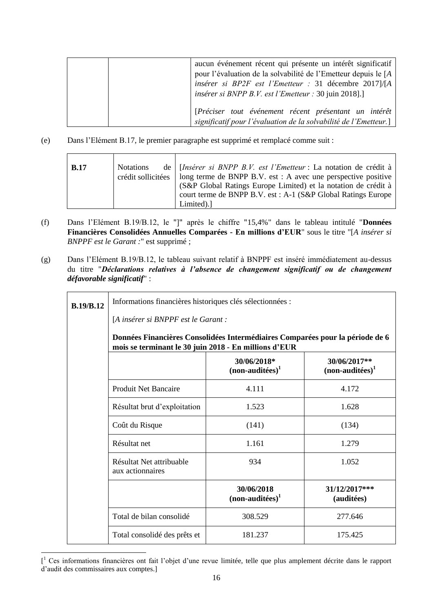|  | aucun événement récent qui présente un intérêt significatif      |
|--|------------------------------------------------------------------|
|  | pour l'évaluation de la solvabilité de l'Emetteur depuis le [A   |
|  | insérer si BP2F est l'Emetteur : 31 décembre 2017]/[A            |
|  | <i>insérer si BNPP B.V. est l'Emetteur : 30 juin 2018</i> ].]    |
|  |                                                                  |
|  | [Préciser tout événement récent présentant un intérêt            |
|  | significatif pour l'évaluation de la solvabilité de l'Emetteur.] |

(e) Dans l'Elément B.17, le premier paragraphe est supprimé et remplacé comme suit :

| de   [Insérer si BNPP B.V. est l'Emetteur : La notation de crédit à<br>B.17<br><b>Notations</b><br>crédit sollicitées   long terme de BNPP B.V. est : A avec une perspective positive<br>(S&P Global Ratings Europe Limited) et la notation de crédit à<br>court terme de BNPP B.V. est : A-1 (S&P Global Ratings Europe<br>Limited). |
|---------------------------------------------------------------------------------------------------------------------------------------------------------------------------------------------------------------------------------------------------------------------------------------------------------------------------------------|
|---------------------------------------------------------------------------------------------------------------------------------------------------------------------------------------------------------------------------------------------------------------------------------------------------------------------------------------|

- (f) Dans l'Elément B.19/B.12, le "]" après le chiffre "15,4%" dans le tableau intitulé "**Données Financières Consolidées Annuelles Comparées - En millions d'EUR**" sous le titre "[*A insérer si BNPPF est le Garant :*" est supprimé ;
- (g) Dans l'Elément B.19/B.12, le tableau suivant relatif à BNPPF est inséré immédiatement au-dessus du titre "*Déclarations relatives à l'absence de changement significatif ou de changement défavorable significatif*" :

| <b>B.19/B.12</b>                                                   | Informations financières historiques clés sélectionnées :<br>[A insérer si BNPPF est le Garant :                                       |         |         |  |
|--------------------------------------------------------------------|----------------------------------------------------------------------------------------------------------------------------------------|---------|---------|--|
|                                                                    |                                                                                                                                        |         |         |  |
|                                                                    | Données Financières Consolidées Intermédiaires Comparées pour la période de 6<br>mois se terminant le 30 juin 2018 - En millions d'EUR |         |         |  |
|                                                                    | 30/06/2018*<br>30/06/2017**<br>$(non-auditées)^1$<br>$non-auditées)^1$                                                                 |         |         |  |
|                                                                    | <b>Produit Net Bancaire</b><br>4.111<br>4.172                                                                                          |         |         |  |
| Résultat brut d'exploitation<br>1.523                              |                                                                                                                                        | 1.628   |         |  |
|                                                                    | Coût du Risque<br>(141)<br>(134)                                                                                                       |         |         |  |
|                                                                    | Résultat net<br>1.161<br>1.279<br>Résultat Net attribuable<br>934<br>1.052<br>aux actionnaires                                         |         |         |  |
|                                                                    |                                                                                                                                        |         |         |  |
| 30/06/2018<br>$31/12/2017$ ***<br>$(non-auditées)^1$<br>(auditées) |                                                                                                                                        |         |         |  |
| Total de bilan consolidé<br>308.529                                |                                                                                                                                        | 277.646 |         |  |
|                                                                    | Total consolidé des prêts et                                                                                                           | 181.237 | 175.425 |  |

<sup>[</sup> <sup>1</sup> Ces informations financières ont fait l'objet d'une revue limitée, telle que plus amplement décrite dans le rapport d'audit des commissaires aux comptes.]

-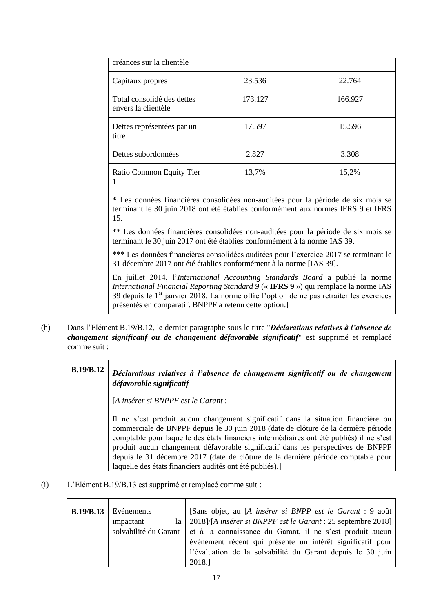| créances sur la clientèle                         |         |         |
|---------------------------------------------------|---------|---------|
| Capitaux propres                                  | 23.536  | 22.764  |
| Total consolidé des dettes<br>envers la clientèle | 173.127 | 166.927 |
| Dettes représentées par un<br>titre               | 17.597  | 15.596  |
| Dettes subordonnées                               | 2.827   | 3.308   |
| Ratio Common Equity Tier                          | 13,7%   | 15,2%   |

\* Les données financières consolidées non-auditées pour la période de six mois se terminant le 30 juin 2018 ont été établies conformément aux normes IFRS 9 et IFRS 15.

\*\* Les données financières consolidées non-auditées pour la période de six mois se terminant le 30 juin 2017 ont été établies conformément à la norme IAS 39.

\*\*\* Les données financières consolidées auditées pour l'exercice 2017 se terminant le 31 décembre 2017 ont été établies conformément à la norme [IAS 39].

En juillet 2014, l'*International Accounting Standards Board* a publié la norme *International Financial Reporting Standard 9* (« **IFRS 9** ») qui remplace la norme IAS 39 depuis le  $1<sup>er</sup>$  janvier 2018. La norme offre l'option de ne pas retraiter les exercices présentés en comparatif. BNPPF a retenu cette option.]

(h) Dans l'Elément B.19/B.12, le dernier paragraphe sous le titre "*Déclarations relatives à l'absence de changement significatif ou de changement défavorable significatif*" est supprimé et remplacé comme suit :

| <b>B.19/B.12</b> | Déclarations relatives à l'absence de changement significatif ou de changement<br>défavorable significatif                                                                                                                                                                                                                                                                                                                                    |  |  |
|------------------|-----------------------------------------------------------------------------------------------------------------------------------------------------------------------------------------------------------------------------------------------------------------------------------------------------------------------------------------------------------------------------------------------------------------------------------------------|--|--|
|                  | [A insérer si BNPPF est le Garant :                                                                                                                                                                                                                                                                                                                                                                                                           |  |  |
|                  | Il ne s'est produit aucun changement significatif dans la situation financière ou<br>commerciale de BNPPF depuis le 30 juin 2018 (date de clôture de la dernière période<br>comptable pour laquelle des états financiers intermédiaires ont été publiés) il ne s'est<br>produit aucun changement défavorable significatif dans les perspectives de BNPPF<br>depuis le 31 décembre 2017 (date de clôture de la dernière période comptable pour |  |  |
|                  | laquelle des états financiers audités ont été publiés).                                                                                                                                                                                                                                                                                                                                                                                       |  |  |

(i) L'Elément B.19/B.13 est supprimé et remplacé comme suit :

| B.19/B.13 | Evénements | [Sans objet, au [A insérer si BNPP est le Garant : 9 août                       |
|-----------|------------|---------------------------------------------------------------------------------|
|           | impactant  | la   2018]/[A insérer si BNPPF est le Garant : 25 septembre 2018]               |
|           |            | solvabilité du Garant et à la connaissance du Garant, il ne s'est produit aucun |
|           |            | événement récent qui présente un intérêt significatif pour                      |
|           |            | l'évaluation de la solvabilité du Garant depuis le 30 juin                      |
|           |            | 2018.]                                                                          |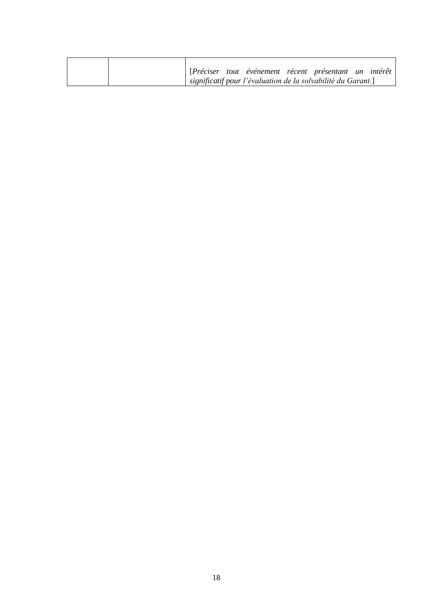| [Préciser tout événement récent présentant un intérêt        |
|--------------------------------------------------------------|
| significatif pour l'évaluation de la solvabilité du Garant.] |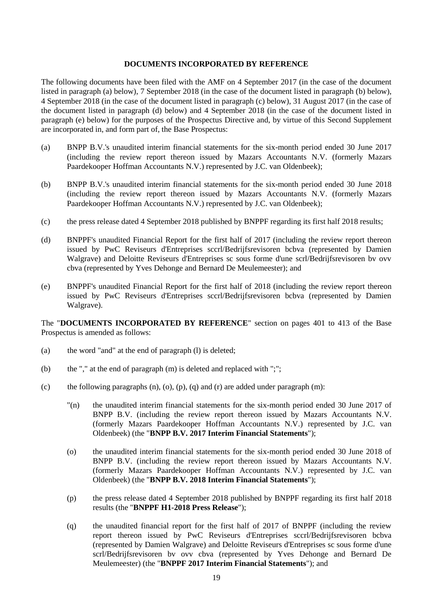#### **DOCUMENTS INCORPORATED BY REFERENCE**

The following documents have been filed with the AMF on 4 September 2017 (in the case of the document listed in paragraph (a) below), 7 September 2018 (in the case of the document listed in paragraph (b) below), 4 September 2018 (in the case of the document listed in paragraph (c) below), 31 August 2017 (in the case of the document listed in paragraph (d) below) and 4 September 2018 (in the case of the document listed in paragraph (e) below) for the purposes of the Prospectus Directive and, by virtue of this Second Supplement are incorporated in, and form part of, the Base Prospectus:

- (a) BNPP B.V.'s unaudited interim financial statements for the six-month period ended 30 June 2017 (including the review report thereon issued by Mazars Accountants N.V. (formerly Mazars Paardekooper Hoffman Accountants N.V.) represented by J.C. van Oldenbeek);
- (b) BNPP B.V.'s unaudited interim financial statements for the six-month period ended 30 June 2018 (including the review report thereon issued by Mazars Accountants N.V. (formerly Mazars Paardekooper Hoffman Accountants N.V.) represented by J.C. van Oldenbeek):
- (c) the press release dated 4 September 2018 published by BNPPF regarding its first half 2018 results;
- (d) BNPPF's unaudited Financial Report for the first half of 2017 (including the review report thereon issued by PwC Reviseurs d'Entreprises sccrl/Bedrijfsrevisoren bcbva (represented by Damien Walgrave) and Deloitte Reviseurs d'Entreprises sc sous forme d'une scrl/Bedrijfsrevisoren bv ovv cbva (represented by Yves Dehonge and Bernard De Meulemeester); and
- (e) BNPPF's unaudited Financial Report for the first half of 2018 (including the review report thereon issued by PwC Reviseurs d'Entreprises sccrl/Bedrijfsrevisoren bcbva (represented by Damien Walgrave).

The "**DOCUMENTS INCORPORATED BY REFERENCE**" section on pages 401 to 413 of the Base Prospectus is amended as follows:

- (a) the word "and" at the end of paragraph (l) is deleted;
- (b) the "," at the end of paragraph (m) is deleted and replaced with ";";
- (c) the following paragraphs  $(n)$ ,  $(0)$ ,  $(p)$ ,  $(q)$  and  $(r)$  are added under paragraph  $(m)$ :
	- "(n) the unaudited interim financial statements for the six-month period ended 30 June 2017 of BNPP B.V. (including the review report thereon issued by Mazars Accountants N.V. (formerly Mazars Paardekooper Hoffman Accountants N.V.) represented by J.C. van Oldenbeek) (the "**BNPP B.V. 2017 Interim Financial Statements**");
	- (o) the unaudited interim financial statements for the six-month period ended 30 June 2018 of BNPP B.V. (including the review report thereon issued by Mazars Accountants N.V. (formerly Mazars Paardekooper Hoffman Accountants N.V.) represented by J.C. van Oldenbeek) (the "**BNPP B.V. 2018 Interim Financial Statements**");
	- (p) the press release dated 4 September 2018 published by BNPPF regarding its first half 2018 results (the "**BNPPF H1-2018 Press Release**");
	- (q) the unaudited financial report for the first half of 2017 of BNPPF (including the review report thereon issued by PwC Reviseurs d'Entreprises sccrl/Bedrijfsrevisoren bcbva (represented by Damien Walgrave) and Deloitte Reviseurs d'Entreprises sc sous forme d'une scrl/Bedrijfsrevisoren bv ovv cbva (represented by Yves Dehonge and Bernard De Meulemeester) (the "**BNPPF 2017 Interim Financial Statements**"); and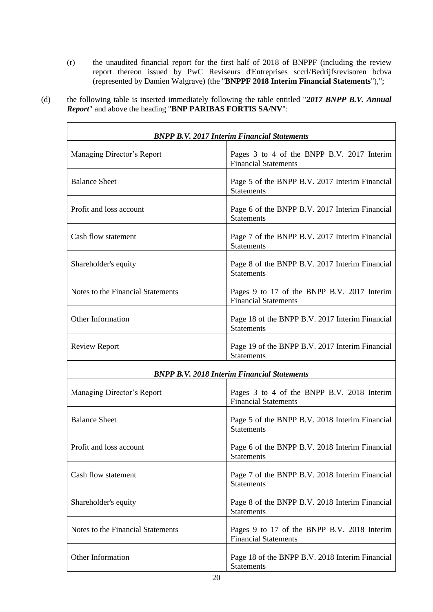(r) the unaudited financial report for the first half of 2018 of BNPPF (including the review report thereon issued by PwC Reviseurs d'Entreprises sccrl/Bedrijfsrevisoren bcbva (represented by Damien Walgrave) (the "**BNPPF 2018 Interim Financial Statements**"),";

(d) the following table is inserted immediately following the table entitled "*2017 BNPP B.V. Annual Report*" and above the heading "**BNP PARIBAS FORTIS SA/NV**":

| <b>BNPP B.V. 2017 Interim Financial Statements</b> |                                                                            |  |
|----------------------------------------------------|----------------------------------------------------------------------------|--|
| Managing Director's Report                         | Pages 3 to 4 of the BNPP B.V. 2017 Interim<br><b>Financial Statements</b>  |  |
| <b>Balance Sheet</b>                               | Page 5 of the BNPP B.V. 2017 Interim Financial<br><b>Statements</b>        |  |
| Profit and loss account                            | Page 6 of the BNPP B.V. 2017 Interim Financial<br><b>Statements</b>        |  |
| Cash flow statement                                | Page 7 of the BNPP B.V. 2017 Interim Financial<br><b>Statements</b>        |  |
| Shareholder's equity                               | Page 8 of the BNPP B.V. 2017 Interim Financial<br><b>Statements</b>        |  |
| Notes to the Financial Statements                  | Pages 9 to 17 of the BNPP B.V. 2017 Interim<br><b>Financial Statements</b> |  |
| Other Information                                  | Page 18 of the BNPP B.V. 2017 Interim Financial<br><b>Statements</b>       |  |
| <b>Review Report</b>                               | Page 19 of the BNPP B.V. 2017 Interim Financial<br><b>Statements</b>       |  |
|                                                    | <b>BNPP B.V. 2018 Interim Financial Statements</b>                         |  |
| Managing Director's Report                         | Pages 3 to 4 of the BNPP B.V. 2018 Interim<br><b>Financial Statements</b>  |  |
| <b>Balance Sheet</b>                               | Page 5 of the BNPP B.V. 2018 Interim Financial<br><b>Statements</b>        |  |
| Profit and loss account                            | Page 6 of the BNPP B.V. 2018 Interim Financial<br><b>Statements</b>        |  |
| Cash flow statement                                | Page 7 of the BNPP B.V. 2018 Interim Financial<br><b>Statements</b>        |  |
| Shareholder's equity                               | Page 8 of the BNPP B.V. 2018 Interim Financial<br><b>Statements</b>        |  |
| Notes to the Financial Statements                  | Pages 9 to 17 of the BNPP B.V. 2018 Interim<br><b>Financial Statements</b> |  |
| Other Information                                  | Page 18 of the BNPP B.V. 2018 Interim Financial<br>Statements              |  |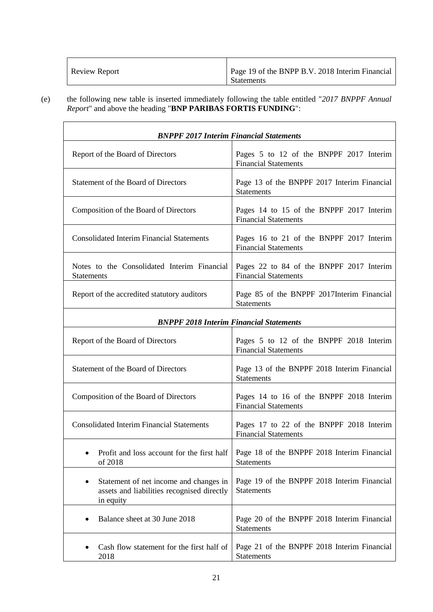| <b>Review Report</b> | Page 19 of the BNPP B.V. 2018 Interim Financial<br><b>Statements</b> |
|----------------------|----------------------------------------------------------------------|
|----------------------|----------------------------------------------------------------------|

(e) the following new table is inserted immediately following the table entitled "*2017 BNPPF Annual Report*" and above the heading "**BNP PARIBAS FORTIS FUNDING**":

| <b>BNPPF 2017 Interim Financial Statements</b>                                                    |                                                                         |  |  |
|---------------------------------------------------------------------------------------------------|-------------------------------------------------------------------------|--|--|
| Report of the Board of Directors                                                                  | Pages 5 to 12 of the BNPPF 2017 Interim<br><b>Financial Statements</b>  |  |  |
| Statement of the Board of Directors                                                               | Page 13 of the BNPPF 2017 Interim Financial<br><b>Statements</b>        |  |  |
| Composition of the Board of Directors                                                             | Pages 14 to 15 of the BNPPF 2017 Interim<br><b>Financial Statements</b> |  |  |
| <b>Consolidated Interim Financial Statements</b>                                                  | Pages 16 to 21 of the BNPPF 2017 Interim<br><b>Financial Statements</b> |  |  |
| Notes to the Consolidated Interim Financial<br><b>Statements</b>                                  | Pages 22 to 84 of the BNPPF 2017 Interim<br><b>Financial Statements</b> |  |  |
| Report of the accredited statutory auditors                                                       | Page 85 of the BNPPF 2017Interim Financial<br><b>Statements</b>         |  |  |
| <b>BNPPF 2018 Interim Financial Statements</b>                                                    |                                                                         |  |  |
| Report of the Board of Directors                                                                  | Pages 5 to 12 of the BNPPF 2018 Interim<br><b>Financial Statements</b>  |  |  |
| Statement of the Board of Directors                                                               | Page 13 of the BNPPF 2018 Interim Financial<br><b>Statements</b>        |  |  |
| Composition of the Board of Directors                                                             | Pages 14 to 16 of the BNPPF 2018 Interim<br><b>Financial Statements</b> |  |  |
| <b>Consolidated Interim Financial Statements</b>                                                  | Pages 17 to 22 of the BNPPF 2018 Interim<br><b>Financial Statements</b> |  |  |
| Profit and loss account for the first half<br>of 2018                                             | Page 18 of the BNPPF 2018 Interim Financial<br>Statements               |  |  |
| Statement of net income and changes in<br>assets and liabilities recognised directly<br>in equity | Page 19 of the BNPPF 2018 Interim Financial<br><b>Statements</b>        |  |  |
| Balance sheet at 30 June 2018                                                                     | Page 20 of the BNPPF 2018 Interim Financial<br>Statements               |  |  |
| Cash flow statement for the first half of<br>2018                                                 | Page 21 of the BNPPF 2018 Interim Financial<br>Statements               |  |  |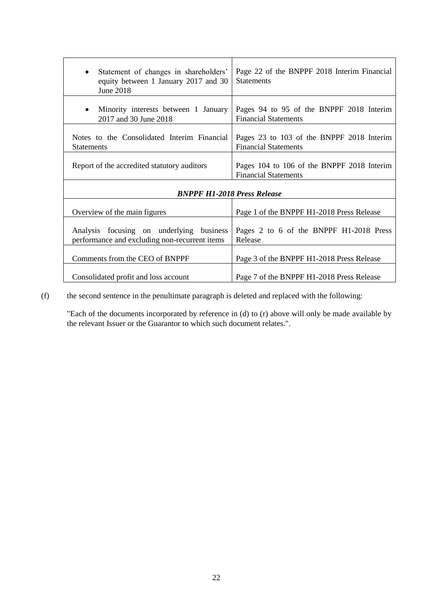| Statement of changes in shareholders'<br>$\bullet$<br>equity between 1 January 2017 and 30<br><b>June 2018</b> | Page 22 of the BNPPF 2018 Interim Financial<br><b>Statements</b>          |  |  |
|----------------------------------------------------------------------------------------------------------------|---------------------------------------------------------------------------|--|--|
| Minority interests between 1 January<br>٠<br>2017 and 30 June 2018                                             | Pages 94 to 95 of the BNPPF 2018 Interim<br><b>Financial Statements</b>   |  |  |
| Notes to the Consolidated Interim Financial<br><b>Statements</b>                                               | Pages 23 to 103 of the BNPPF 2018 Interim<br><b>Financial Statements</b>  |  |  |
| Report of the accredited statutory auditors                                                                    | Pages 104 to 106 of the BNPPF 2018 Interim<br><b>Financial Statements</b> |  |  |
| <b>BNPPF H1-2018 Press Release</b>                                                                             |                                                                           |  |  |
| Overview of the main figures                                                                                   | Page 1 of the BNPPF H1-2018 Press Release                                 |  |  |
| Analysis focusing on underlying business<br>performance and excluding non-recurrent items                      | Pages 2 to 6 of the BNPPF H1-2018 Press<br>Release                        |  |  |
| Comments from the CEO of BNPPF                                                                                 | Page 3 of the BNPPF H1-2018 Press Release                                 |  |  |
| Consolidated profit and loss account                                                                           | Page 7 of the BNPPF H1-2018 Press Release                                 |  |  |

(f) the second sentence in the penultimate paragraph is deleted and replaced with the following:

"Each of the documents incorporated by reference in (d) to (r) above will only be made available by the relevant Issuer or the Guarantor to which such document relates.".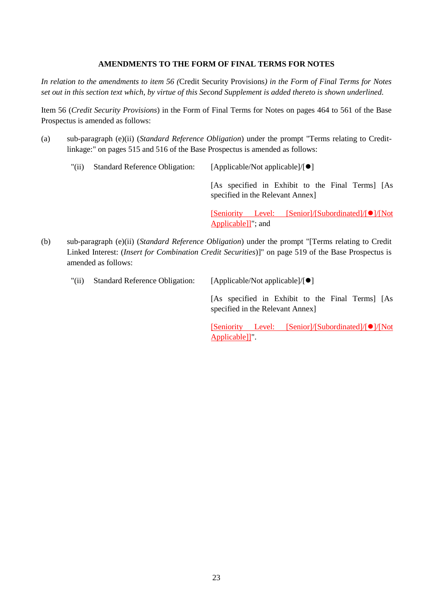# **AMENDMENTS TO THE FORM OF FINAL TERMS FOR NOTES**

*In relation to the amendments to item 56 (*Credit Security Provisions*) in the Form of Final Terms for Notes set out in this section text which, by virtue of this Second Supplement is added thereto is shown underlined.*

Item 56 (*Credit Security Provisions*) in the Form of Final Terms for Notes on pages 464 to 561 of the Base Prospectus is amended as follows:

(a) sub-paragraph (e)(ii) (*Standard Reference Obligation*) under the prompt "Terms relating to Creditlinkage:" on pages 515 and 516 of the Base Prospectus is amended as follows:

| "(ii) | <b>Standard Reference Obligation:</b> | [Applicable/Not applicable]/ $\lceil \bullet \rceil$                                 |  |  |
|-------|---------------------------------------|--------------------------------------------------------------------------------------|--|--|
|       |                                       | [As specified in Exhibit to the Final Terms] [As<br>specified in the Relevant Annex] |  |  |
|       |                                       | [Seniority Level: [Senior]/[Subordinated]/[O]/[Not]                                  |  |  |

Applicable]]"; and

(b) sub-paragraph (e)(ii) (*Standard Reference Obligation*) under the prompt "[Terms relating to Credit Linked Interest: (*Insert for Combination Credit Securities*)]" on page 519 of the Base Prospectus is amended as follows:

| "(ii) | <b>Standard Reference Obligation:</b> | $[Applicable/Not applicable]/[\bullet]$                                             |  |  |
|-------|---------------------------------------|-------------------------------------------------------------------------------------|--|--|
|       |                                       | [As specified in Exhibit to the Final Terms] [As<br>specified in the Relevant Annex |  |  |

[Seniority Level: [Senior]/[Subordinated]/[O]/[Not Applicable]]".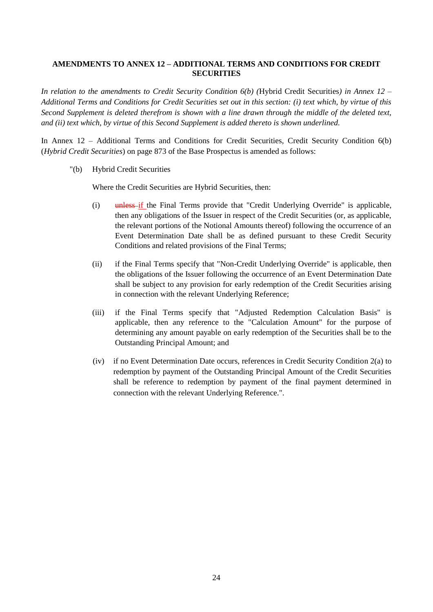# **AMENDMENTS TO ANNEX 12 – ADDITIONAL TERMS AND CONDITIONS FOR CREDIT SECURITIES**

*In relation to the amendments to Credit Security Condition 6(b) (*Hybrid Credit Securities*) in Annex 12 – Additional Terms and Conditions for Credit Securities set out in this section: (i) text which, by virtue of this Second Supplement is deleted therefrom is shown with a line drawn through the middle of the deleted text, and (ii) text which, by virtue of this Second Supplement is added thereto is shown underlined.*

In Annex 12 – Additional Terms and Conditions for Credit Securities, Credit Security Condition 6(b) (*Hybrid Credit Securities*) on page 873 of the Base Prospectus is amended as follows:

"(b) Hybrid Credit Securities

Where the Credit Securities are Hybrid Securities, then:

- (i) unless if the Final Terms provide that "Credit Underlying Override" is applicable, then any obligations of the Issuer in respect of the Credit Securities (or, as applicable, the relevant portions of the Notional Amounts thereof) following the occurrence of an Event Determination Date shall be as defined pursuant to these Credit Security Conditions and related provisions of the Final Terms;
- (ii) if the Final Terms specify that "Non-Credit Underlying Override" is applicable, then the obligations of the Issuer following the occurrence of an Event Determination Date shall be subject to any provision for early redemption of the Credit Securities arising in connection with the relevant Underlying Reference;
- (iii) if the Final Terms specify that "Adjusted Redemption Calculation Basis" is applicable, then any reference to the "Calculation Amount" for the purpose of determining any amount payable on early redemption of the Securities shall be to the Outstanding Principal Amount; and
- (iv) if no Event Determination Date occurs, references in Credit Security Condition 2(a) to redemption by payment of the Outstanding Principal Amount of the Credit Securities shall be reference to redemption by payment of the final payment determined in connection with the relevant Underlying Reference.".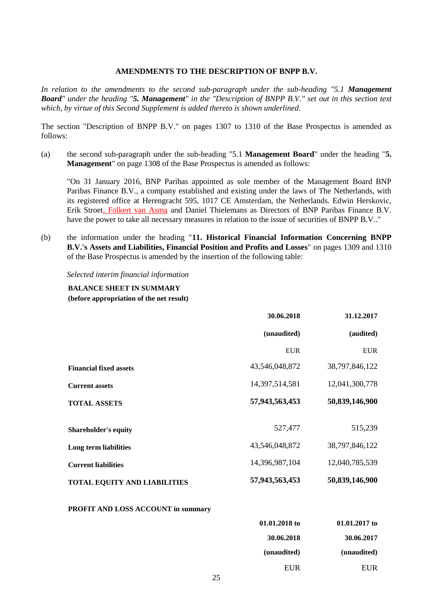#### **AMENDMENTS TO THE DESCRIPTION OF BNPP B.V.**

*In relation to the amendments to the second sub-paragraph under the sub-heading "5.1 Management Board" under the heading "5. Management" in the "Description of BNPP B.V." set out in this section text which, by virtue of this Second Supplement is added thereto is shown underlined.*

The section "Description of BNPP B.V." on pages 1307 to 1310 of the Base Prospectus is amended as follows:

(a) the second sub-paragraph under the sub-heading "5.1 **Management Board**" under the heading "**5. Management**" on page 1308 of the Base Prospectus is amended as follows:

"On 31 January 2016, BNP Paribas appointed as sole member of the Management Board BNP Paribas Finance B.V., a company established and existing under the laws of The Netherlands, with its registered office at Herengracht 595, 1017 CE Amsterdam, the Netherlands. Edwin Herskovic, Erik Stroet, Folkert van Asma and Daniel Thielemans as Directors of BNP Paribas Finance B.V. have the power to take all necessary measures in relation to the issue of securities of BNPP B.V.."

(b) the information under the heading "**11. Historical Financial Information Concerning BNPP B.V.'s Assets and Liabilities, Financial Position and Profits and Losses**" on pages 1309 and 1310 of the Base Prospectus is amended by the insertion of the following table:

#### *Selected interim financial information*

#### **BALANCE SHEET IN SUMMARY (before appropriation of the net result)**

|                                     | 30.06.2018     | 31.12.2017     |
|-------------------------------------|----------------|----------------|
|                                     | (unaudited)    | (audited)      |
|                                     | <b>EUR</b>     | <b>EUR</b>     |
| <b>Financial fixed assets</b>       | 43,546,048,872 | 38,797,846,122 |
| <b>Current assets</b>               | 14,397,514,581 | 12,041,300,778 |
| <b>TOTAL ASSETS</b>                 | 57,943,563,453 | 50,839,146,900 |
|                                     |                |                |
| <b>Shareholder's equity</b>         | 527,477        | 515,239        |
| Long term liabilities               | 43,546,048,872 | 38,797,846,122 |
| <b>Current liabilities</b>          | 14,396,987,104 | 12,040,785,539 |
| <b>TOTAL EQUITY AND LIABILITIES</b> | 57,943,563,453 | 50,839,146,900 |

#### **PROFIT AND LOSS ACCOUNT in summary**

| 01.01.2017 to | 01.01.2018 to |
|---------------|---------------|
| 30.06.2017    | 30.06.2018    |
| (unaudited)   | (unaudited)   |
| <b>EUR</b>    | EUR           |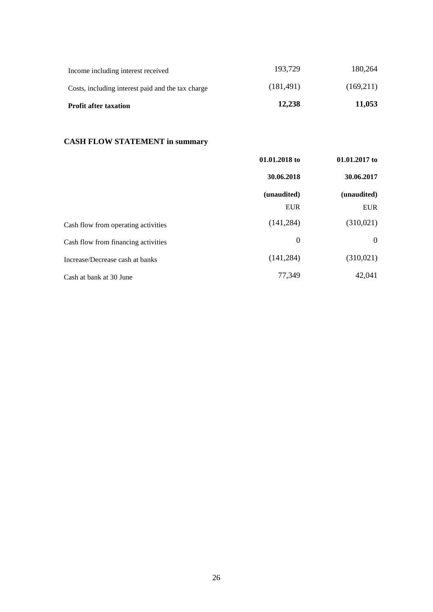| <b>Profit after taxation</b>                      | 12,238     | 11,053    |
|---------------------------------------------------|------------|-----------|
| Costs, including interest paid and the tax charge | (181, 491) | (169,211) |
| Income including interest received                | 193.729    | 180.264   |

# **CASH FLOW STATEMENT in summary**

|                                     | 01.01.2018 to                           | $01.01.2017$ to                         |
|-------------------------------------|-----------------------------------------|-----------------------------------------|
|                                     | 30.06.2018<br>(unaudited)<br><b>EUR</b> | 30.06.2017<br>(unaudited)<br><b>EUR</b> |
|                                     |                                         |                                         |
|                                     |                                         |                                         |
| Cash flow from operating activities | (141, 284)                              | (310,021)                               |
| Cash flow from financing activities | $\boldsymbol{0}$                        | $\theta$                                |
| Increase/Decrease cash at banks     | (141, 284)                              | (310,021)                               |
| Cash at bank at 30 June             | 77,349                                  | 42,041                                  |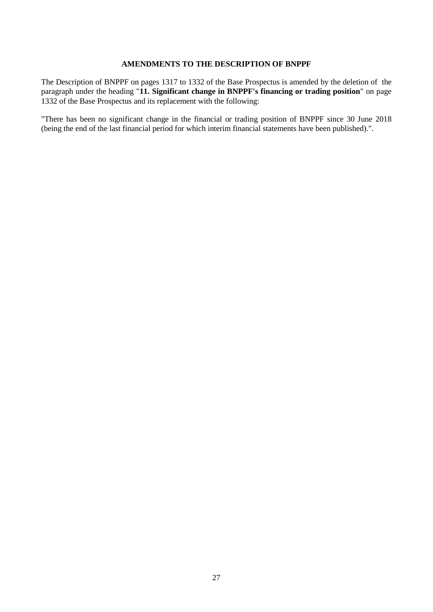## **AMENDMENTS TO THE DESCRIPTION OF BNPPF**

The Description of BNPPF on pages 1317 to 1332 of the Base Prospectus is amended by the deletion of the paragraph under the heading "**11. Significant change in BNPPF's financing or trading position**" on page 1332 of the Base Prospectus and its replacement with the following:

"There has been no significant change in the financial or trading position of BNPPF since 30 June 2018 (being the end of the last financial period for which interim financial statements have been published).".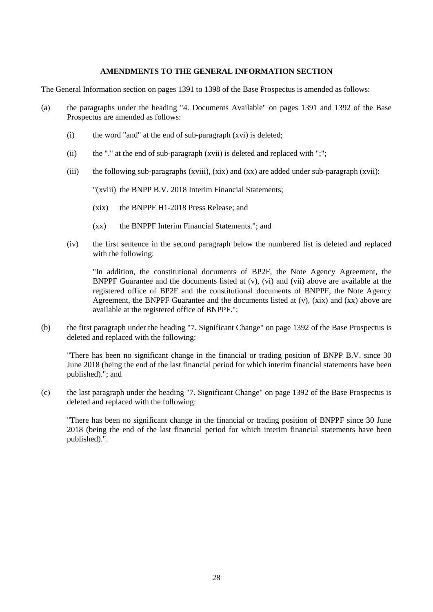## **AMENDMENTS TO THE GENERAL INFORMATION SECTION**

The General Information section on pages 1391 to 1398 of the Base Prospectus is amended as follows:

- (a) the paragraphs under the heading "4. Documents Available" on pages 1391 and 1392 of the Base Prospectus are amended as follows:
	- (i) the word "and" at the end of sub-paragraph (xvi) is deleted;
	- (ii) the "." at the end of sub-paragraph  $(xvii)$  is deleted and replaced with ";";
	- (iii) the following sub-paragraphs (xviii),  $(xix)$  and  $(xx)$  are added under sub-paragraph  $(xvii)$ :

"(xviii) the BNPP B.V. 2018 Interim Financial Statements;

- (xix) the BNPPF H1-2018 Press Release; and
- (xx) the BNPPF Interim Financial Statements."; and
- (iv) the first sentence in the second paragraph below the numbered list is deleted and replaced with the following:

"In addition, the constitutional documents of BP2F, the Note Agency Agreement, the BNPPF Guarantee and the documents listed at (v), (vi) and (vii) above are available at the registered office of BP2F and the constitutional documents of BNPPF, the Note Agency Agreement, the BNPPF Guarantee and the documents listed at  $(v)$ ,  $(xix)$  and  $(xx)$  above are available at the registered office of BNPPF.";

(b) the first paragraph under the heading "7. Significant Change" on page 1392 of the Base Prospectus is deleted and replaced with the following:

"There has been no significant change in the financial or trading position of BNPP B.V. since 30 June 2018 (being the end of the last financial period for which interim financial statements have been published)."; and

(c) the last paragraph under the heading "7. Significant Change" on page 1392 of the Base Prospectus is deleted and replaced with the following:

"There has been no significant change in the financial or trading position of BNPPF since 30 June 2018 (being the end of the last financial period for which interim financial statements have been published).".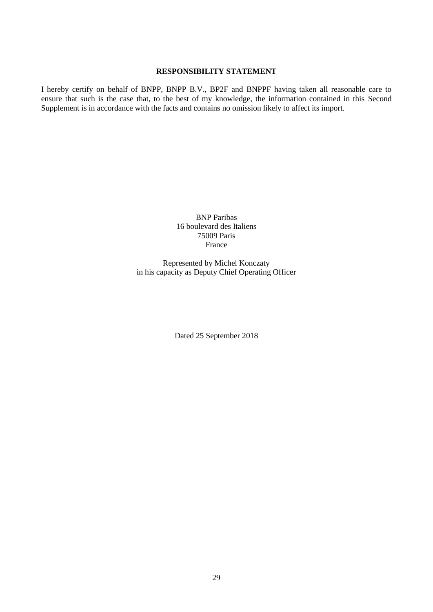## **RESPONSIBILITY STATEMENT**

I hereby certify on behalf of BNPP, BNPP B.V., BP2F and BNPPF having taken all reasonable care to ensure that such is the case that, to the best of my knowledge, the information contained in this Second Supplement is in accordance with the facts and contains no omission likely to affect its import.

> BNP Paribas 16 boulevard des Italiens 75009 Paris France

Represented by Michel Konczaty in his capacity as Deputy Chief Operating Officer

Dated 25 September 2018